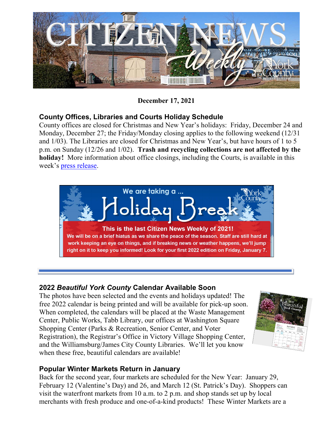

**December 17, 2021**

## **County Offices, Libraries and Courts Holiday Schedule**

County offices are closed for Christmas and New Year's holidays: Friday, December 24 and Monday, December 27; the Friday/Monday closing applies to the following weekend (12/31 and 1/03). The Libraries are closed for Christmas and New Year's, but have hours of 1 to 5 p.m. on Sunday (12/26 and 1/02). **Trash and recycling collections are not affected by the holiday!** More information about office closings, including the Courts, is available in this week's [press release.](https://www.yorkcounty.gov/DocumentCenter/View/36948/York-County-Government-and-Courts-Holiday-Schedule)



### **2022** *Beautiful York County* **Calendar Available Soon**

The photos have been selected and the events and holidays updated! The free 2022 calendar is being printed and will be available for pick-up soon. When completed, the calendars will be placed at the Waste Management Center, Public Works, Tabb Library, our offices at Washington Square Shopping Center (Parks & Recreation, Senior Center, and Voter Registration), the Registrar's Office in Victory Village Shopping Center, and the Williamsburg/James City County Libraries. We'll let you know when these free, beautiful calendars are available!



## **Popular Winter Markets Return in January**

Back for the second year, four markets are scheduled for the New Year: January 29, February 12 (Valentine's Day) and 26, and March 12 (St. Patrick's Day). Shoppers can visit the waterfront markets from 10 a.m. to 2 p.m. and shop stands set up by local merchants with fresh produce and one-of-a-kind products! These Winter Markets are a